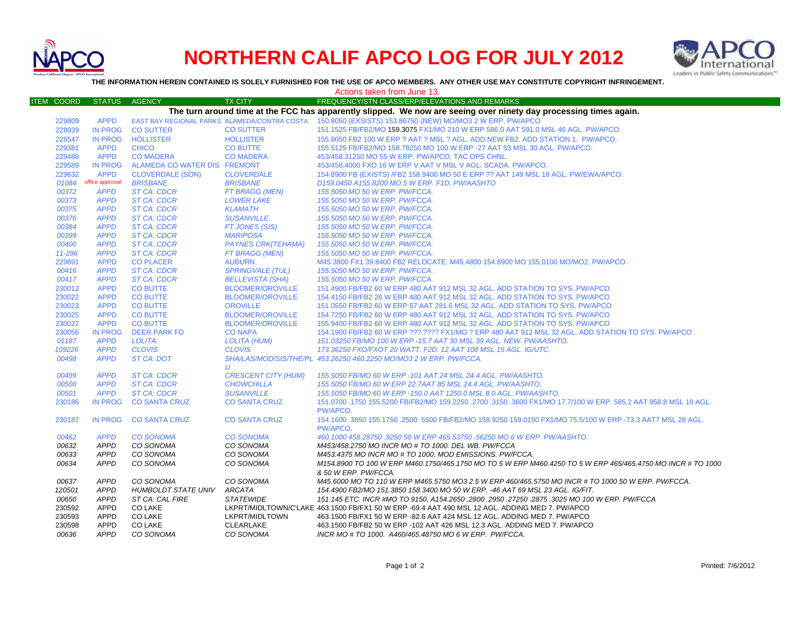

## **NORTHERN CALIF APCO LOG FOR JULY 2012**



**THE INFORMATION HEREIN CONTAINED IS SOLELY FURNISHED FOR THE USE OF APCO MEMBERS. ANY OTHER USE MAY CONSTITUTE COPYRIGHT INFRINGEMENT.**

| FREQUENCY/STN CLASS/ERP/ELEVATIONS AND REMARKS<br><b>ITEM COORD</b><br><b>STATUS</b><br><b>AGENCY</b><br><b>TX CITY</b><br>The turn around time at the FCC has apparently slipped. We now are seeing over ninety day processing times again.<br>229809<br><b>APPD</b><br>EAST BAY REGIONAL PARKS ALAMEDA/CONTRA COSTA 150.8050 (EXSISTS) 153.86750 (NEW) MO/MO3 2 W ERP. PW/APCO<br><b>IN PROG</b><br><b>CO SUTTER</b><br>228039<br><b>CO SUTTER</b><br>151.1525 FB/FB2/MO 159.3075 FX1/MO 210 W ERP 586.0 AAT 591.0 MSL 46 AGL. PW/APCO.<br>228547<br><b>IN PROG</b><br><b>HOLLISTER</b><br><b>HOLLISTER</b><br>155.8050 FB2 100 W ERP ? AAT ? MSL ? AGL. ADD NEW FB2. ADD STATION 1. PW/APCO.<br>229381<br><b>APPD</b><br><b>CHICO</b><br><b>CO BUTTE</b><br>155.5125 FB/FB2/MO 158.78250 MO 100 W ERP -27 AAT 53 MSL 30 AGL, PW/APCO.<br>229488<br><b>APPD</b><br><b>CO MADERA</b><br>453/458.31250 MO 55 W ERP. PW/APCO. TAC OPS CHNL.<br><b>CO MADERA</b><br>229589<br><b>IN PROG</b><br>ALAMEDA CO WATER DIS FREMONT<br>453/458,4000 FXO 16 W ERP V AAT V MSL V AGL, SCADA, PW/APCO,<br>229632<br><b>APPD</b><br>154.8900 FB (EXISTS) /FB2 158.9400 MO 50 E ERP ?? AAT 149 MSL 18 AGL. PW/EWA/APCO.<br><b>CLOVERDALE (SON)</b><br><b>CLOVERDALE</b><br>01084<br>office approval<br><b>BRISBANE</b><br><b>BRISBANE</b><br>D159.0450 A155.8200 MO 5 W ERP. F1D. PW/AASHTO<br><b>ST CA: CDCR</b><br>00372<br><b>APPD</b><br>FT BRAGG (MEN)<br>155.5050 MO 50 W ERP. PW/FCCA.<br>00373<br><b>APPD</b><br><b>ST CA: CDCR</b><br><b>LOWER LAKE</b><br>155.5050 MO 50 W ERP. PW/FCCA.<br>00375<br><b>APPD</b><br><b>ST CA: CDCR</b><br><b>KLAMATH</b><br>155.5050 MO 50 W ERP. PW/FCCA.<br>00376<br><b>APPD</b><br><b>ST CA: CDCR</b><br><b>SUSANVILLE</b><br>155.5050 MO 50 W ERP. PW/FCCA.<br>00384<br><b>APPD</b><br><b>ST CA: CDCR</b><br>155.5050 MO 50 W ERP. PW/FCCA.<br>FT JONES (SIS)<br>00399<br><b>APPD</b><br><b>MARIPOSA</b><br><b>ST CA: CDCR</b><br>155.5050 MO 50 W ERP. PW/FCCA.<br>00400<br><b>APPD</b><br><b>ST CA: CDCR</b><br><b>PAYNES CRK(TEHAMA)</b><br>155.5050 MO 50 W ERP. PW/FCCA.<br><b>ST CA: CDCR</b><br>11-296<br><b>APPD</b><br><b>FT BRAGG (MEN)</b><br>155.5050 MO 50 W ERP. PW/FCCA.<br>229891<br><b>APPD</b><br><b>CO PLACER</b><br><b>AUBURN</b><br>M45.3800 FX1 39.8400 FB2 RELOCATE. M45.4800 154.8900 MO 155,0100 MO/MO2. PW/APCO.<br>00416<br><b>APPD</b><br><b>ST CA: CDCR</b><br><b>SPRINGVALE (TUL)</b><br>155.5050 MO 50 W ERP. PW/FCCA.<br><b>ST CA: CDCR</b><br><b>BELLEVISTA (SHA)</b><br>00417<br><b>APPD</b><br>155.5050 MO 50 W ERP. PW/FCCA.<br>230012<br><b>APPD</b><br><b>CO BUTTE</b><br><b>BLOOMER/OROVILLE</b><br>151.4900 FB/FB2 60 W ERP 480 AAT 912 MSL 32 AGL. ADD STATION TO SYS. PW/APCO<br>230022<br><b>CO BUTTE</b><br><b>BLOOMER/OROVILLE</b><br>154.4150 FB/FB2 26 W ERP 480 AAT 912 MSL 32 AGL. ADD STATION TO SYS. PW/APCO<br><b>APPD</b><br>230023<br><b>APPD</b><br><b>CO BUTTE</b><br><b>OROVILLE</b><br>151,0550 FB/FB2 60 W ERP 57 AAT 281.6 MSL 32 AGL, ADD STATION TO SYS, PW/APCO<br>230025<br><b>APPD</b><br>154.7250 FB/FB2 60 W ERP 480 AAT 912 MSL 32 AGL. ADD STATION TO SYS. PW/APCO<br><b>CO BUTTE</b><br><b>BLOOMER/OROVILLE</b><br>230027<br><b>APPD</b><br><b>CO BUTTE</b><br><b>BLOOMER/OROVILLE</b><br>155.9400 FB/FB2 60 W ERP 480 AAT 912 MSL 32 AGL. ADD STATION TO SYS. PW/APCO<br>230056<br><b>IN PROG</b><br><b>DEER PARK FD</b><br><b>CO NAPA</b><br>154.1900 FB/FB2 60 W ERP ???.???? FX1/MO ? ERP 480 AAT 912 MSL 32 AGL. ADD STATION TO SYS. PW/APCO<br><b>APPD</b><br>01187<br><b>LOLITA</b><br><b>LOLITA (HUM)</b><br>151.03250 FB/MO 100 W ERP -15.7 AAT 30 MSL 39 AGL. NEW. PW/AASHTO.<br>109226<br><b>APPD</b><br><b>CLOVIS</b><br><b>CLOVIS</b><br>173.36250 FXO/FXOT 20 WATT. F2D. 12 AAT 108 MSL 15 AGL. IG/UTC.<br>00498<br><b>APPD</b><br><b>ST CA: DOT</b><br>SHA/LAS/MOD/SIS/THE/PL 453.26250 460.2250 MO/MO3 2 W ERP. PW/FCCA.<br>$\boldsymbol{U}$<br><b>CRESCENT CITY (HUM)</b><br>00499<br><b>APPD</b><br><b>ST CA: CDCR</b><br>155.5050 FB/MO 60 W ERP -101 AAT 24 MSL 24.4 AGL. PW/AASHTO.<br><b>APPD</b><br><b>ST CA: CDCR</b><br><b>CHOWCHILLA</b><br>155.5050 FB/MO 60 W ERP 22.7AAT 85 MSL 24.4 AGL. PW/AASHTO.<br>00500<br><b>APPD</b><br><b>ST CA: CDCR</b><br><b>SUSANVILLE</b><br>00501<br>155.5050 FB/MO 60 W ERP -150.0 AAT 1250.0 MSL 8.0 AGL. PW/AASHTO.<br>230186<br><b>IN PROG</b><br><b>CO SANTA CRUZ</b><br><b>CO SANTA CRUZ</b><br>151.0700 .1750 155.5200 FB/FB2/MO 159.2250 .2700 .3150 .3600 FX1/MO 17.7/100 W ERP. 585.2 AAT 958.8 MSL 10 AGL<br>PW/APCO.<br>IN PROG CO SANTA CRUZ<br><b>CO SANTA CRUZ</b><br>154.1600 .3850 155.1750 .2500 .5500 FB/FB2/MO 158.9250 159.0150 FX1/MO 75.5/100 W ERP -73.3 AAT7 MSL 28 AGL.<br>230187<br>PW/APCO.<br>00462<br><b>APPD</b><br><b>CO SONOMA</b><br><b>CO SONOMA</b><br>460.1000 458.28750 .9250 50 W ERP 465.53750 .56250 MO 6 W ERP. PW/AASHTO.<br>00632<br><b>APPD</b><br>CO SONOMA<br>CO SONOMA<br>M453/458.2750 MO INCR MO # TO 1000. DEL WB. PW/FCCA<br><b>APPD</b><br>CO SONOMA<br>00633<br>CO SONOMA<br>M453.4375 MO INCR MO # TO 1000. MOD EMISSIONS. PW/FCCA.<br>00634<br><b>APPD</b><br>CO SONOMA<br>CO SONOMA<br>M154.8900 TO 100 W ERP M460.1750/465.1750 MO TO 5 W ERP M460.4250 TO 5 W ERP 465/465.4750 MO INCR # TO 1000<br>& 50 W ERP. PW/FCCA. |       |             |           |           | Actions taken from June 13.                                                                        |
|-------------------------------------------------------------------------------------------------------------------------------------------------------------------------------------------------------------------------------------------------------------------------------------------------------------------------------------------------------------------------------------------------------------------------------------------------------------------------------------------------------------------------------------------------------------------------------------------------------------------------------------------------------------------------------------------------------------------------------------------------------------------------------------------------------------------------------------------------------------------------------------------------------------------------------------------------------------------------------------------------------------------------------------------------------------------------------------------------------------------------------------------------------------------------------------------------------------------------------------------------------------------------------------------------------------------------------------------------------------------------------------------------------------------------------------------------------------------------------------------------------------------------------------------------------------------------------------------------------------------------------------------------------------------------------------------------------------------------------------------------------------------------------------------------------------------------------------------------------------------------------------------------------------------------------------------------------------------------------------------------------------------------------------------------------------------------------------------------------------------------------------------------------------------------------------------------------------------------------------------------------------------------------------------------------------------------------------------------------------------------------------------------------------------------------------------------------------------------------------------------------------------------------------------------------------------------------------------------------------------------------------------------------------------------------------------------------------------------------------------------------------------------------------------------------------------------------------------------------------------------------------------------------------------------------------------------------------------------------------------------------------------------------------------------------------------------------------------------------------------------------------------------------------------------------------------------------------------------------------------------------------------------------------------------------------------------------------------------------------------------------------------------------------------------------------------------------------------------------------------------------------------------------------------------------------------------------------------------------------------------------------------------------------------------------------------------------------------------------------------------------------------------------------------------------------------------------------------------------------------------------------------------------------------------------------------------------------------------------------------------------------------------------------------------------------------------------------------------------------------------------------------------------------------------------------------------------------------------------------------------------------------------------------------------------------------------------------------------------------------------------------------------------------------------------------------------------------------------------------------------------------------------------------------------------------------------------------------------------------------------------------------------------------------------------------------------------------------------------------------------------------------------------------------------------------------------------------------------------------------------------------------------------------------------------------------------------------------------------------------------------------------------------------------------------------------------------------------------------------------------------------------------------------------------------------------------------------------------------------------------------------------------------------------------------------------------------------------------------|-------|-------------|-----------|-----------|----------------------------------------------------------------------------------------------------|
|                                                                                                                                                                                                                                                                                                                                                                                                                                                                                                                                                                                                                                                                                                                                                                                                                                                                                                                                                                                                                                                                                                                                                                                                                                                                                                                                                                                                                                                                                                                                                                                                                                                                                                                                                                                                                                                                                                                                                                                                                                                                                                                                                                                                                                                                                                                                                                                                                                                                                                                                                                                                                                                                                                                                                                                                                                                                                                                                                                                                                                                                                                                                                                                                                                                                                                                                                                                                                                                                                                                                                                                                                                                                                                                                                                                                                                                                                                                                                                                                                                                                                                                                                                                                                                                                                                                                                                                                                                                                                                                                                                                                                                                                                                                                                                                                                                                                                                                                                                                                                                                                                                                                                                                                                                                                                                                                                       |       |             |           |           |                                                                                                    |
|                                                                                                                                                                                                                                                                                                                                                                                                                                                                                                                                                                                                                                                                                                                                                                                                                                                                                                                                                                                                                                                                                                                                                                                                                                                                                                                                                                                                                                                                                                                                                                                                                                                                                                                                                                                                                                                                                                                                                                                                                                                                                                                                                                                                                                                                                                                                                                                                                                                                                                                                                                                                                                                                                                                                                                                                                                                                                                                                                                                                                                                                                                                                                                                                                                                                                                                                                                                                                                                                                                                                                                                                                                                                                                                                                                                                                                                                                                                                                                                                                                                                                                                                                                                                                                                                                                                                                                                                                                                                                                                                                                                                                                                                                                                                                                                                                                                                                                                                                                                                                                                                                                                                                                                                                                                                                                                                                       |       |             |           |           |                                                                                                    |
|                                                                                                                                                                                                                                                                                                                                                                                                                                                                                                                                                                                                                                                                                                                                                                                                                                                                                                                                                                                                                                                                                                                                                                                                                                                                                                                                                                                                                                                                                                                                                                                                                                                                                                                                                                                                                                                                                                                                                                                                                                                                                                                                                                                                                                                                                                                                                                                                                                                                                                                                                                                                                                                                                                                                                                                                                                                                                                                                                                                                                                                                                                                                                                                                                                                                                                                                                                                                                                                                                                                                                                                                                                                                                                                                                                                                                                                                                                                                                                                                                                                                                                                                                                                                                                                                                                                                                                                                                                                                                                                                                                                                                                                                                                                                                                                                                                                                                                                                                                                                                                                                                                                                                                                                                                                                                                                                                       |       |             |           |           |                                                                                                    |
|                                                                                                                                                                                                                                                                                                                                                                                                                                                                                                                                                                                                                                                                                                                                                                                                                                                                                                                                                                                                                                                                                                                                                                                                                                                                                                                                                                                                                                                                                                                                                                                                                                                                                                                                                                                                                                                                                                                                                                                                                                                                                                                                                                                                                                                                                                                                                                                                                                                                                                                                                                                                                                                                                                                                                                                                                                                                                                                                                                                                                                                                                                                                                                                                                                                                                                                                                                                                                                                                                                                                                                                                                                                                                                                                                                                                                                                                                                                                                                                                                                                                                                                                                                                                                                                                                                                                                                                                                                                                                                                                                                                                                                                                                                                                                                                                                                                                                                                                                                                                                                                                                                                                                                                                                                                                                                                                                       |       |             |           |           |                                                                                                    |
|                                                                                                                                                                                                                                                                                                                                                                                                                                                                                                                                                                                                                                                                                                                                                                                                                                                                                                                                                                                                                                                                                                                                                                                                                                                                                                                                                                                                                                                                                                                                                                                                                                                                                                                                                                                                                                                                                                                                                                                                                                                                                                                                                                                                                                                                                                                                                                                                                                                                                                                                                                                                                                                                                                                                                                                                                                                                                                                                                                                                                                                                                                                                                                                                                                                                                                                                                                                                                                                                                                                                                                                                                                                                                                                                                                                                                                                                                                                                                                                                                                                                                                                                                                                                                                                                                                                                                                                                                                                                                                                                                                                                                                                                                                                                                                                                                                                                                                                                                                                                                                                                                                                                                                                                                                                                                                                                                       |       |             |           |           |                                                                                                    |
|                                                                                                                                                                                                                                                                                                                                                                                                                                                                                                                                                                                                                                                                                                                                                                                                                                                                                                                                                                                                                                                                                                                                                                                                                                                                                                                                                                                                                                                                                                                                                                                                                                                                                                                                                                                                                                                                                                                                                                                                                                                                                                                                                                                                                                                                                                                                                                                                                                                                                                                                                                                                                                                                                                                                                                                                                                                                                                                                                                                                                                                                                                                                                                                                                                                                                                                                                                                                                                                                                                                                                                                                                                                                                                                                                                                                                                                                                                                                                                                                                                                                                                                                                                                                                                                                                                                                                                                                                                                                                                                                                                                                                                                                                                                                                                                                                                                                                                                                                                                                                                                                                                                                                                                                                                                                                                                                                       |       |             |           |           |                                                                                                    |
|                                                                                                                                                                                                                                                                                                                                                                                                                                                                                                                                                                                                                                                                                                                                                                                                                                                                                                                                                                                                                                                                                                                                                                                                                                                                                                                                                                                                                                                                                                                                                                                                                                                                                                                                                                                                                                                                                                                                                                                                                                                                                                                                                                                                                                                                                                                                                                                                                                                                                                                                                                                                                                                                                                                                                                                                                                                                                                                                                                                                                                                                                                                                                                                                                                                                                                                                                                                                                                                                                                                                                                                                                                                                                                                                                                                                                                                                                                                                                                                                                                                                                                                                                                                                                                                                                                                                                                                                                                                                                                                                                                                                                                                                                                                                                                                                                                                                                                                                                                                                                                                                                                                                                                                                                                                                                                                                                       |       |             |           |           |                                                                                                    |
|                                                                                                                                                                                                                                                                                                                                                                                                                                                                                                                                                                                                                                                                                                                                                                                                                                                                                                                                                                                                                                                                                                                                                                                                                                                                                                                                                                                                                                                                                                                                                                                                                                                                                                                                                                                                                                                                                                                                                                                                                                                                                                                                                                                                                                                                                                                                                                                                                                                                                                                                                                                                                                                                                                                                                                                                                                                                                                                                                                                                                                                                                                                                                                                                                                                                                                                                                                                                                                                                                                                                                                                                                                                                                                                                                                                                                                                                                                                                                                                                                                                                                                                                                                                                                                                                                                                                                                                                                                                                                                                                                                                                                                                                                                                                                                                                                                                                                                                                                                                                                                                                                                                                                                                                                                                                                                                                                       |       |             |           |           |                                                                                                    |
|                                                                                                                                                                                                                                                                                                                                                                                                                                                                                                                                                                                                                                                                                                                                                                                                                                                                                                                                                                                                                                                                                                                                                                                                                                                                                                                                                                                                                                                                                                                                                                                                                                                                                                                                                                                                                                                                                                                                                                                                                                                                                                                                                                                                                                                                                                                                                                                                                                                                                                                                                                                                                                                                                                                                                                                                                                                                                                                                                                                                                                                                                                                                                                                                                                                                                                                                                                                                                                                                                                                                                                                                                                                                                                                                                                                                                                                                                                                                                                                                                                                                                                                                                                                                                                                                                                                                                                                                                                                                                                                                                                                                                                                                                                                                                                                                                                                                                                                                                                                                                                                                                                                                                                                                                                                                                                                                                       |       |             |           |           |                                                                                                    |
|                                                                                                                                                                                                                                                                                                                                                                                                                                                                                                                                                                                                                                                                                                                                                                                                                                                                                                                                                                                                                                                                                                                                                                                                                                                                                                                                                                                                                                                                                                                                                                                                                                                                                                                                                                                                                                                                                                                                                                                                                                                                                                                                                                                                                                                                                                                                                                                                                                                                                                                                                                                                                                                                                                                                                                                                                                                                                                                                                                                                                                                                                                                                                                                                                                                                                                                                                                                                                                                                                                                                                                                                                                                                                                                                                                                                                                                                                                                                                                                                                                                                                                                                                                                                                                                                                                                                                                                                                                                                                                                                                                                                                                                                                                                                                                                                                                                                                                                                                                                                                                                                                                                                                                                                                                                                                                                                                       |       |             |           |           |                                                                                                    |
|                                                                                                                                                                                                                                                                                                                                                                                                                                                                                                                                                                                                                                                                                                                                                                                                                                                                                                                                                                                                                                                                                                                                                                                                                                                                                                                                                                                                                                                                                                                                                                                                                                                                                                                                                                                                                                                                                                                                                                                                                                                                                                                                                                                                                                                                                                                                                                                                                                                                                                                                                                                                                                                                                                                                                                                                                                                                                                                                                                                                                                                                                                                                                                                                                                                                                                                                                                                                                                                                                                                                                                                                                                                                                                                                                                                                                                                                                                                                                                                                                                                                                                                                                                                                                                                                                                                                                                                                                                                                                                                                                                                                                                                                                                                                                                                                                                                                                                                                                                                                                                                                                                                                                                                                                                                                                                                                                       |       |             |           |           |                                                                                                    |
|                                                                                                                                                                                                                                                                                                                                                                                                                                                                                                                                                                                                                                                                                                                                                                                                                                                                                                                                                                                                                                                                                                                                                                                                                                                                                                                                                                                                                                                                                                                                                                                                                                                                                                                                                                                                                                                                                                                                                                                                                                                                                                                                                                                                                                                                                                                                                                                                                                                                                                                                                                                                                                                                                                                                                                                                                                                                                                                                                                                                                                                                                                                                                                                                                                                                                                                                                                                                                                                                                                                                                                                                                                                                                                                                                                                                                                                                                                                                                                                                                                                                                                                                                                                                                                                                                                                                                                                                                                                                                                                                                                                                                                                                                                                                                                                                                                                                                                                                                                                                                                                                                                                                                                                                                                                                                                                                                       |       |             |           |           |                                                                                                    |
|                                                                                                                                                                                                                                                                                                                                                                                                                                                                                                                                                                                                                                                                                                                                                                                                                                                                                                                                                                                                                                                                                                                                                                                                                                                                                                                                                                                                                                                                                                                                                                                                                                                                                                                                                                                                                                                                                                                                                                                                                                                                                                                                                                                                                                                                                                                                                                                                                                                                                                                                                                                                                                                                                                                                                                                                                                                                                                                                                                                                                                                                                                                                                                                                                                                                                                                                                                                                                                                                                                                                                                                                                                                                                                                                                                                                                                                                                                                                                                                                                                                                                                                                                                                                                                                                                                                                                                                                                                                                                                                                                                                                                                                                                                                                                                                                                                                                                                                                                                                                                                                                                                                                                                                                                                                                                                                                                       |       |             |           |           |                                                                                                    |
|                                                                                                                                                                                                                                                                                                                                                                                                                                                                                                                                                                                                                                                                                                                                                                                                                                                                                                                                                                                                                                                                                                                                                                                                                                                                                                                                                                                                                                                                                                                                                                                                                                                                                                                                                                                                                                                                                                                                                                                                                                                                                                                                                                                                                                                                                                                                                                                                                                                                                                                                                                                                                                                                                                                                                                                                                                                                                                                                                                                                                                                                                                                                                                                                                                                                                                                                                                                                                                                                                                                                                                                                                                                                                                                                                                                                                                                                                                                                                                                                                                                                                                                                                                                                                                                                                                                                                                                                                                                                                                                                                                                                                                                                                                                                                                                                                                                                                                                                                                                                                                                                                                                                                                                                                                                                                                                                                       |       |             |           |           |                                                                                                    |
|                                                                                                                                                                                                                                                                                                                                                                                                                                                                                                                                                                                                                                                                                                                                                                                                                                                                                                                                                                                                                                                                                                                                                                                                                                                                                                                                                                                                                                                                                                                                                                                                                                                                                                                                                                                                                                                                                                                                                                                                                                                                                                                                                                                                                                                                                                                                                                                                                                                                                                                                                                                                                                                                                                                                                                                                                                                                                                                                                                                                                                                                                                                                                                                                                                                                                                                                                                                                                                                                                                                                                                                                                                                                                                                                                                                                                                                                                                                                                                                                                                                                                                                                                                                                                                                                                                                                                                                                                                                                                                                                                                                                                                                                                                                                                                                                                                                                                                                                                                                                                                                                                                                                                                                                                                                                                                                                                       |       |             |           |           |                                                                                                    |
|                                                                                                                                                                                                                                                                                                                                                                                                                                                                                                                                                                                                                                                                                                                                                                                                                                                                                                                                                                                                                                                                                                                                                                                                                                                                                                                                                                                                                                                                                                                                                                                                                                                                                                                                                                                                                                                                                                                                                                                                                                                                                                                                                                                                                                                                                                                                                                                                                                                                                                                                                                                                                                                                                                                                                                                                                                                                                                                                                                                                                                                                                                                                                                                                                                                                                                                                                                                                                                                                                                                                                                                                                                                                                                                                                                                                                                                                                                                                                                                                                                                                                                                                                                                                                                                                                                                                                                                                                                                                                                                                                                                                                                                                                                                                                                                                                                                                                                                                                                                                                                                                                                                                                                                                                                                                                                                                                       |       |             |           |           |                                                                                                    |
|                                                                                                                                                                                                                                                                                                                                                                                                                                                                                                                                                                                                                                                                                                                                                                                                                                                                                                                                                                                                                                                                                                                                                                                                                                                                                                                                                                                                                                                                                                                                                                                                                                                                                                                                                                                                                                                                                                                                                                                                                                                                                                                                                                                                                                                                                                                                                                                                                                                                                                                                                                                                                                                                                                                                                                                                                                                                                                                                                                                                                                                                                                                                                                                                                                                                                                                                                                                                                                                                                                                                                                                                                                                                                                                                                                                                                                                                                                                                                                                                                                                                                                                                                                                                                                                                                                                                                                                                                                                                                                                                                                                                                                                                                                                                                                                                                                                                                                                                                                                                                                                                                                                                                                                                                                                                                                                                                       |       |             |           |           |                                                                                                    |
|                                                                                                                                                                                                                                                                                                                                                                                                                                                                                                                                                                                                                                                                                                                                                                                                                                                                                                                                                                                                                                                                                                                                                                                                                                                                                                                                                                                                                                                                                                                                                                                                                                                                                                                                                                                                                                                                                                                                                                                                                                                                                                                                                                                                                                                                                                                                                                                                                                                                                                                                                                                                                                                                                                                                                                                                                                                                                                                                                                                                                                                                                                                                                                                                                                                                                                                                                                                                                                                                                                                                                                                                                                                                                                                                                                                                                                                                                                                                                                                                                                                                                                                                                                                                                                                                                                                                                                                                                                                                                                                                                                                                                                                                                                                                                                                                                                                                                                                                                                                                                                                                                                                                                                                                                                                                                                                                                       |       |             |           |           |                                                                                                    |
|                                                                                                                                                                                                                                                                                                                                                                                                                                                                                                                                                                                                                                                                                                                                                                                                                                                                                                                                                                                                                                                                                                                                                                                                                                                                                                                                                                                                                                                                                                                                                                                                                                                                                                                                                                                                                                                                                                                                                                                                                                                                                                                                                                                                                                                                                                                                                                                                                                                                                                                                                                                                                                                                                                                                                                                                                                                                                                                                                                                                                                                                                                                                                                                                                                                                                                                                                                                                                                                                                                                                                                                                                                                                                                                                                                                                                                                                                                                                                                                                                                                                                                                                                                                                                                                                                                                                                                                                                                                                                                                                                                                                                                                                                                                                                                                                                                                                                                                                                                                                                                                                                                                                                                                                                                                                                                                                                       |       |             |           |           |                                                                                                    |
|                                                                                                                                                                                                                                                                                                                                                                                                                                                                                                                                                                                                                                                                                                                                                                                                                                                                                                                                                                                                                                                                                                                                                                                                                                                                                                                                                                                                                                                                                                                                                                                                                                                                                                                                                                                                                                                                                                                                                                                                                                                                                                                                                                                                                                                                                                                                                                                                                                                                                                                                                                                                                                                                                                                                                                                                                                                                                                                                                                                                                                                                                                                                                                                                                                                                                                                                                                                                                                                                                                                                                                                                                                                                                                                                                                                                                                                                                                                                                                                                                                                                                                                                                                                                                                                                                                                                                                                                                                                                                                                                                                                                                                                                                                                                                                                                                                                                                                                                                                                                                                                                                                                                                                                                                                                                                                                                                       |       |             |           |           |                                                                                                    |
|                                                                                                                                                                                                                                                                                                                                                                                                                                                                                                                                                                                                                                                                                                                                                                                                                                                                                                                                                                                                                                                                                                                                                                                                                                                                                                                                                                                                                                                                                                                                                                                                                                                                                                                                                                                                                                                                                                                                                                                                                                                                                                                                                                                                                                                                                                                                                                                                                                                                                                                                                                                                                                                                                                                                                                                                                                                                                                                                                                                                                                                                                                                                                                                                                                                                                                                                                                                                                                                                                                                                                                                                                                                                                                                                                                                                                                                                                                                                                                                                                                                                                                                                                                                                                                                                                                                                                                                                                                                                                                                                                                                                                                                                                                                                                                                                                                                                                                                                                                                                                                                                                                                                                                                                                                                                                                                                                       |       |             |           |           |                                                                                                    |
|                                                                                                                                                                                                                                                                                                                                                                                                                                                                                                                                                                                                                                                                                                                                                                                                                                                                                                                                                                                                                                                                                                                                                                                                                                                                                                                                                                                                                                                                                                                                                                                                                                                                                                                                                                                                                                                                                                                                                                                                                                                                                                                                                                                                                                                                                                                                                                                                                                                                                                                                                                                                                                                                                                                                                                                                                                                                                                                                                                                                                                                                                                                                                                                                                                                                                                                                                                                                                                                                                                                                                                                                                                                                                                                                                                                                                                                                                                                                                                                                                                                                                                                                                                                                                                                                                                                                                                                                                                                                                                                                                                                                                                                                                                                                                                                                                                                                                                                                                                                                                                                                                                                                                                                                                                                                                                                                                       |       |             |           |           |                                                                                                    |
|                                                                                                                                                                                                                                                                                                                                                                                                                                                                                                                                                                                                                                                                                                                                                                                                                                                                                                                                                                                                                                                                                                                                                                                                                                                                                                                                                                                                                                                                                                                                                                                                                                                                                                                                                                                                                                                                                                                                                                                                                                                                                                                                                                                                                                                                                                                                                                                                                                                                                                                                                                                                                                                                                                                                                                                                                                                                                                                                                                                                                                                                                                                                                                                                                                                                                                                                                                                                                                                                                                                                                                                                                                                                                                                                                                                                                                                                                                                                                                                                                                                                                                                                                                                                                                                                                                                                                                                                                                                                                                                                                                                                                                                                                                                                                                                                                                                                                                                                                                                                                                                                                                                                                                                                                                                                                                                                                       |       |             |           |           |                                                                                                    |
|                                                                                                                                                                                                                                                                                                                                                                                                                                                                                                                                                                                                                                                                                                                                                                                                                                                                                                                                                                                                                                                                                                                                                                                                                                                                                                                                                                                                                                                                                                                                                                                                                                                                                                                                                                                                                                                                                                                                                                                                                                                                                                                                                                                                                                                                                                                                                                                                                                                                                                                                                                                                                                                                                                                                                                                                                                                                                                                                                                                                                                                                                                                                                                                                                                                                                                                                                                                                                                                                                                                                                                                                                                                                                                                                                                                                                                                                                                                                                                                                                                                                                                                                                                                                                                                                                                                                                                                                                                                                                                                                                                                                                                                                                                                                                                                                                                                                                                                                                                                                                                                                                                                                                                                                                                                                                                                                                       |       |             |           |           |                                                                                                    |
|                                                                                                                                                                                                                                                                                                                                                                                                                                                                                                                                                                                                                                                                                                                                                                                                                                                                                                                                                                                                                                                                                                                                                                                                                                                                                                                                                                                                                                                                                                                                                                                                                                                                                                                                                                                                                                                                                                                                                                                                                                                                                                                                                                                                                                                                                                                                                                                                                                                                                                                                                                                                                                                                                                                                                                                                                                                                                                                                                                                                                                                                                                                                                                                                                                                                                                                                                                                                                                                                                                                                                                                                                                                                                                                                                                                                                                                                                                                                                                                                                                                                                                                                                                                                                                                                                                                                                                                                                                                                                                                                                                                                                                                                                                                                                                                                                                                                                                                                                                                                                                                                                                                                                                                                                                                                                                                                                       |       |             |           |           |                                                                                                    |
|                                                                                                                                                                                                                                                                                                                                                                                                                                                                                                                                                                                                                                                                                                                                                                                                                                                                                                                                                                                                                                                                                                                                                                                                                                                                                                                                                                                                                                                                                                                                                                                                                                                                                                                                                                                                                                                                                                                                                                                                                                                                                                                                                                                                                                                                                                                                                                                                                                                                                                                                                                                                                                                                                                                                                                                                                                                                                                                                                                                                                                                                                                                                                                                                                                                                                                                                                                                                                                                                                                                                                                                                                                                                                                                                                                                                                                                                                                                                                                                                                                                                                                                                                                                                                                                                                                                                                                                                                                                                                                                                                                                                                                                                                                                                                                                                                                                                                                                                                                                                                                                                                                                                                                                                                                                                                                                                                       |       |             |           |           |                                                                                                    |
|                                                                                                                                                                                                                                                                                                                                                                                                                                                                                                                                                                                                                                                                                                                                                                                                                                                                                                                                                                                                                                                                                                                                                                                                                                                                                                                                                                                                                                                                                                                                                                                                                                                                                                                                                                                                                                                                                                                                                                                                                                                                                                                                                                                                                                                                                                                                                                                                                                                                                                                                                                                                                                                                                                                                                                                                                                                                                                                                                                                                                                                                                                                                                                                                                                                                                                                                                                                                                                                                                                                                                                                                                                                                                                                                                                                                                                                                                                                                                                                                                                                                                                                                                                                                                                                                                                                                                                                                                                                                                                                                                                                                                                                                                                                                                                                                                                                                                                                                                                                                                                                                                                                                                                                                                                                                                                                                                       |       |             |           |           |                                                                                                    |
|                                                                                                                                                                                                                                                                                                                                                                                                                                                                                                                                                                                                                                                                                                                                                                                                                                                                                                                                                                                                                                                                                                                                                                                                                                                                                                                                                                                                                                                                                                                                                                                                                                                                                                                                                                                                                                                                                                                                                                                                                                                                                                                                                                                                                                                                                                                                                                                                                                                                                                                                                                                                                                                                                                                                                                                                                                                                                                                                                                                                                                                                                                                                                                                                                                                                                                                                                                                                                                                                                                                                                                                                                                                                                                                                                                                                                                                                                                                                                                                                                                                                                                                                                                                                                                                                                                                                                                                                                                                                                                                                                                                                                                                                                                                                                                                                                                                                                                                                                                                                                                                                                                                                                                                                                                                                                                                                                       |       |             |           |           |                                                                                                    |
|                                                                                                                                                                                                                                                                                                                                                                                                                                                                                                                                                                                                                                                                                                                                                                                                                                                                                                                                                                                                                                                                                                                                                                                                                                                                                                                                                                                                                                                                                                                                                                                                                                                                                                                                                                                                                                                                                                                                                                                                                                                                                                                                                                                                                                                                                                                                                                                                                                                                                                                                                                                                                                                                                                                                                                                                                                                                                                                                                                                                                                                                                                                                                                                                                                                                                                                                                                                                                                                                                                                                                                                                                                                                                                                                                                                                                                                                                                                                                                                                                                                                                                                                                                                                                                                                                                                                                                                                                                                                                                                                                                                                                                                                                                                                                                                                                                                                                                                                                                                                                                                                                                                                                                                                                                                                                                                                                       |       |             |           |           |                                                                                                    |
|                                                                                                                                                                                                                                                                                                                                                                                                                                                                                                                                                                                                                                                                                                                                                                                                                                                                                                                                                                                                                                                                                                                                                                                                                                                                                                                                                                                                                                                                                                                                                                                                                                                                                                                                                                                                                                                                                                                                                                                                                                                                                                                                                                                                                                                                                                                                                                                                                                                                                                                                                                                                                                                                                                                                                                                                                                                                                                                                                                                                                                                                                                                                                                                                                                                                                                                                                                                                                                                                                                                                                                                                                                                                                                                                                                                                                                                                                                                                                                                                                                                                                                                                                                                                                                                                                                                                                                                                                                                                                                                                                                                                                                                                                                                                                                                                                                                                                                                                                                                                                                                                                                                                                                                                                                                                                                                                                       |       |             |           |           |                                                                                                    |
|                                                                                                                                                                                                                                                                                                                                                                                                                                                                                                                                                                                                                                                                                                                                                                                                                                                                                                                                                                                                                                                                                                                                                                                                                                                                                                                                                                                                                                                                                                                                                                                                                                                                                                                                                                                                                                                                                                                                                                                                                                                                                                                                                                                                                                                                                                                                                                                                                                                                                                                                                                                                                                                                                                                                                                                                                                                                                                                                                                                                                                                                                                                                                                                                                                                                                                                                                                                                                                                                                                                                                                                                                                                                                                                                                                                                                                                                                                                                                                                                                                                                                                                                                                                                                                                                                                                                                                                                                                                                                                                                                                                                                                                                                                                                                                                                                                                                                                                                                                                                                                                                                                                                                                                                                                                                                                                                                       |       |             |           |           |                                                                                                    |
|                                                                                                                                                                                                                                                                                                                                                                                                                                                                                                                                                                                                                                                                                                                                                                                                                                                                                                                                                                                                                                                                                                                                                                                                                                                                                                                                                                                                                                                                                                                                                                                                                                                                                                                                                                                                                                                                                                                                                                                                                                                                                                                                                                                                                                                                                                                                                                                                                                                                                                                                                                                                                                                                                                                                                                                                                                                                                                                                                                                                                                                                                                                                                                                                                                                                                                                                                                                                                                                                                                                                                                                                                                                                                                                                                                                                                                                                                                                                                                                                                                                                                                                                                                                                                                                                                                                                                                                                                                                                                                                                                                                                                                                                                                                                                                                                                                                                                                                                                                                                                                                                                                                                                                                                                                                                                                                                                       |       |             |           |           |                                                                                                    |
|                                                                                                                                                                                                                                                                                                                                                                                                                                                                                                                                                                                                                                                                                                                                                                                                                                                                                                                                                                                                                                                                                                                                                                                                                                                                                                                                                                                                                                                                                                                                                                                                                                                                                                                                                                                                                                                                                                                                                                                                                                                                                                                                                                                                                                                                                                                                                                                                                                                                                                                                                                                                                                                                                                                                                                                                                                                                                                                                                                                                                                                                                                                                                                                                                                                                                                                                                                                                                                                                                                                                                                                                                                                                                                                                                                                                                                                                                                                                                                                                                                                                                                                                                                                                                                                                                                                                                                                                                                                                                                                                                                                                                                                                                                                                                                                                                                                                                                                                                                                                                                                                                                                                                                                                                                                                                                                                                       |       |             |           |           |                                                                                                    |
|                                                                                                                                                                                                                                                                                                                                                                                                                                                                                                                                                                                                                                                                                                                                                                                                                                                                                                                                                                                                                                                                                                                                                                                                                                                                                                                                                                                                                                                                                                                                                                                                                                                                                                                                                                                                                                                                                                                                                                                                                                                                                                                                                                                                                                                                                                                                                                                                                                                                                                                                                                                                                                                                                                                                                                                                                                                                                                                                                                                                                                                                                                                                                                                                                                                                                                                                                                                                                                                                                                                                                                                                                                                                                                                                                                                                                                                                                                                                                                                                                                                                                                                                                                                                                                                                                                                                                                                                                                                                                                                                                                                                                                                                                                                                                                                                                                                                                                                                                                                                                                                                                                                                                                                                                                                                                                                                                       |       |             |           |           |                                                                                                    |
|                                                                                                                                                                                                                                                                                                                                                                                                                                                                                                                                                                                                                                                                                                                                                                                                                                                                                                                                                                                                                                                                                                                                                                                                                                                                                                                                                                                                                                                                                                                                                                                                                                                                                                                                                                                                                                                                                                                                                                                                                                                                                                                                                                                                                                                                                                                                                                                                                                                                                                                                                                                                                                                                                                                                                                                                                                                                                                                                                                                                                                                                                                                                                                                                                                                                                                                                                                                                                                                                                                                                                                                                                                                                                                                                                                                                                                                                                                                                                                                                                                                                                                                                                                                                                                                                                                                                                                                                                                                                                                                                                                                                                                                                                                                                                                                                                                                                                                                                                                                                                                                                                                                                                                                                                                                                                                                                                       |       |             |           |           |                                                                                                    |
|                                                                                                                                                                                                                                                                                                                                                                                                                                                                                                                                                                                                                                                                                                                                                                                                                                                                                                                                                                                                                                                                                                                                                                                                                                                                                                                                                                                                                                                                                                                                                                                                                                                                                                                                                                                                                                                                                                                                                                                                                                                                                                                                                                                                                                                                                                                                                                                                                                                                                                                                                                                                                                                                                                                                                                                                                                                                                                                                                                                                                                                                                                                                                                                                                                                                                                                                                                                                                                                                                                                                                                                                                                                                                                                                                                                                                                                                                                                                                                                                                                                                                                                                                                                                                                                                                                                                                                                                                                                                                                                                                                                                                                                                                                                                                                                                                                                                                                                                                                                                                                                                                                                                                                                                                                                                                                                                                       |       |             |           |           |                                                                                                    |
|                                                                                                                                                                                                                                                                                                                                                                                                                                                                                                                                                                                                                                                                                                                                                                                                                                                                                                                                                                                                                                                                                                                                                                                                                                                                                                                                                                                                                                                                                                                                                                                                                                                                                                                                                                                                                                                                                                                                                                                                                                                                                                                                                                                                                                                                                                                                                                                                                                                                                                                                                                                                                                                                                                                                                                                                                                                                                                                                                                                                                                                                                                                                                                                                                                                                                                                                                                                                                                                                                                                                                                                                                                                                                                                                                                                                                                                                                                                                                                                                                                                                                                                                                                                                                                                                                                                                                                                                                                                                                                                                                                                                                                                                                                                                                                                                                                                                                                                                                                                                                                                                                                                                                                                                                                                                                                                                                       |       |             |           |           |                                                                                                    |
|                                                                                                                                                                                                                                                                                                                                                                                                                                                                                                                                                                                                                                                                                                                                                                                                                                                                                                                                                                                                                                                                                                                                                                                                                                                                                                                                                                                                                                                                                                                                                                                                                                                                                                                                                                                                                                                                                                                                                                                                                                                                                                                                                                                                                                                                                                                                                                                                                                                                                                                                                                                                                                                                                                                                                                                                                                                                                                                                                                                                                                                                                                                                                                                                                                                                                                                                                                                                                                                                                                                                                                                                                                                                                                                                                                                                                                                                                                                                                                                                                                                                                                                                                                                                                                                                                                                                                                                                                                                                                                                                                                                                                                                                                                                                                                                                                                                                                                                                                                                                                                                                                                                                                                                                                                                                                                                                                       |       |             |           |           |                                                                                                    |
|                                                                                                                                                                                                                                                                                                                                                                                                                                                                                                                                                                                                                                                                                                                                                                                                                                                                                                                                                                                                                                                                                                                                                                                                                                                                                                                                                                                                                                                                                                                                                                                                                                                                                                                                                                                                                                                                                                                                                                                                                                                                                                                                                                                                                                                                                                                                                                                                                                                                                                                                                                                                                                                                                                                                                                                                                                                                                                                                                                                                                                                                                                                                                                                                                                                                                                                                                                                                                                                                                                                                                                                                                                                                                                                                                                                                                                                                                                                                                                                                                                                                                                                                                                                                                                                                                                                                                                                                                                                                                                                                                                                                                                                                                                                                                                                                                                                                                                                                                                                                                                                                                                                                                                                                                                                                                                                                                       |       |             |           |           |                                                                                                    |
|                                                                                                                                                                                                                                                                                                                                                                                                                                                                                                                                                                                                                                                                                                                                                                                                                                                                                                                                                                                                                                                                                                                                                                                                                                                                                                                                                                                                                                                                                                                                                                                                                                                                                                                                                                                                                                                                                                                                                                                                                                                                                                                                                                                                                                                                                                                                                                                                                                                                                                                                                                                                                                                                                                                                                                                                                                                                                                                                                                                                                                                                                                                                                                                                                                                                                                                                                                                                                                                                                                                                                                                                                                                                                                                                                                                                                                                                                                                                                                                                                                                                                                                                                                                                                                                                                                                                                                                                                                                                                                                                                                                                                                                                                                                                                                                                                                                                                                                                                                                                                                                                                                                                                                                                                                                                                                                                                       |       |             |           |           |                                                                                                    |
|                                                                                                                                                                                                                                                                                                                                                                                                                                                                                                                                                                                                                                                                                                                                                                                                                                                                                                                                                                                                                                                                                                                                                                                                                                                                                                                                                                                                                                                                                                                                                                                                                                                                                                                                                                                                                                                                                                                                                                                                                                                                                                                                                                                                                                                                                                                                                                                                                                                                                                                                                                                                                                                                                                                                                                                                                                                                                                                                                                                                                                                                                                                                                                                                                                                                                                                                                                                                                                                                                                                                                                                                                                                                                                                                                                                                                                                                                                                                                                                                                                                                                                                                                                                                                                                                                                                                                                                                                                                                                                                                                                                                                                                                                                                                                                                                                                                                                                                                                                                                                                                                                                                                                                                                                                                                                                                                                       |       |             |           |           |                                                                                                    |
|                                                                                                                                                                                                                                                                                                                                                                                                                                                                                                                                                                                                                                                                                                                                                                                                                                                                                                                                                                                                                                                                                                                                                                                                                                                                                                                                                                                                                                                                                                                                                                                                                                                                                                                                                                                                                                                                                                                                                                                                                                                                                                                                                                                                                                                                                                                                                                                                                                                                                                                                                                                                                                                                                                                                                                                                                                                                                                                                                                                                                                                                                                                                                                                                                                                                                                                                                                                                                                                                                                                                                                                                                                                                                                                                                                                                                                                                                                                                                                                                                                                                                                                                                                                                                                                                                                                                                                                                                                                                                                                                                                                                                                                                                                                                                                                                                                                                                                                                                                                                                                                                                                                                                                                                                                                                                                                                                       |       |             |           |           |                                                                                                    |
|                                                                                                                                                                                                                                                                                                                                                                                                                                                                                                                                                                                                                                                                                                                                                                                                                                                                                                                                                                                                                                                                                                                                                                                                                                                                                                                                                                                                                                                                                                                                                                                                                                                                                                                                                                                                                                                                                                                                                                                                                                                                                                                                                                                                                                                                                                                                                                                                                                                                                                                                                                                                                                                                                                                                                                                                                                                                                                                                                                                                                                                                                                                                                                                                                                                                                                                                                                                                                                                                                                                                                                                                                                                                                                                                                                                                                                                                                                                                                                                                                                                                                                                                                                                                                                                                                                                                                                                                                                                                                                                                                                                                                                                                                                                                                                                                                                                                                                                                                                                                                                                                                                                                                                                                                                                                                                                                                       |       |             |           |           |                                                                                                    |
|                                                                                                                                                                                                                                                                                                                                                                                                                                                                                                                                                                                                                                                                                                                                                                                                                                                                                                                                                                                                                                                                                                                                                                                                                                                                                                                                                                                                                                                                                                                                                                                                                                                                                                                                                                                                                                                                                                                                                                                                                                                                                                                                                                                                                                                                                                                                                                                                                                                                                                                                                                                                                                                                                                                                                                                                                                                                                                                                                                                                                                                                                                                                                                                                                                                                                                                                                                                                                                                                                                                                                                                                                                                                                                                                                                                                                                                                                                                                                                                                                                                                                                                                                                                                                                                                                                                                                                                                                                                                                                                                                                                                                                                                                                                                                                                                                                                                                                                                                                                                                                                                                                                                                                                                                                                                                                                                                       | 00637 | <b>APPD</b> | CO SONOMA | CO SONOMA | M45.6000 MO TO 110 W ERP M465.5750 MO3 2.5 W ERP 460/465.5750 MO INCR # TO 1000 50 W ERP. PW/FCCA. |
| <b>APPD</b><br><b>HUMBOLDT STATE UNIV</b><br>120501<br>ARCATA<br>154.4900 FB2/MO 151.3850 158.3400 MO 50 W ERP. -46 AAT 69 MSL 23 AGL. IG/FIT.                                                                                                                                                                                                                                                                                                                                                                                                                                                                                                                                                                                                                                                                                                                                                                                                                                                                                                                                                                                                                                                                                                                                                                                                                                                                                                                                                                                                                                                                                                                                                                                                                                                                                                                                                                                                                                                                                                                                                                                                                                                                                                                                                                                                                                                                                                                                                                                                                                                                                                                                                                                                                                                                                                                                                                                                                                                                                                                                                                                                                                                                                                                                                                                                                                                                                                                                                                                                                                                                                                                                                                                                                                                                                                                                                                                                                                                                                                                                                                                                                                                                                                                                                                                                                                                                                                                                                                                                                                                                                                                                                                                                                                                                                                                                                                                                                                                                                                                                                                                                                                                                                                                                                                                                        |       |             |           |           |                                                                                                    |
| 00650<br><b>APPD</b><br>ST CA: CAL FIRE<br><b>STATEWIDE</b><br>151.145 ETC. INCR #MO TO 9150. A154.2650 .2800 .2950 .27250 .2875 .3025 MO 100 W ERP. PW/FCCA                                                                                                                                                                                                                                                                                                                                                                                                                                                                                                                                                                                                                                                                                                                                                                                                                                                                                                                                                                                                                                                                                                                                                                                                                                                                                                                                                                                                                                                                                                                                                                                                                                                                                                                                                                                                                                                                                                                                                                                                                                                                                                                                                                                                                                                                                                                                                                                                                                                                                                                                                                                                                                                                                                                                                                                                                                                                                                                                                                                                                                                                                                                                                                                                                                                                                                                                                                                                                                                                                                                                                                                                                                                                                                                                                                                                                                                                                                                                                                                                                                                                                                                                                                                                                                                                                                                                                                                                                                                                                                                                                                                                                                                                                                                                                                                                                                                                                                                                                                                                                                                                                                                                                                                          |       |             |           |           |                                                                                                    |
| 230592<br><b>APPD</b><br><b>CO LAKE</b><br>LKPRT/MIDLTOWN/C'LAKE 463.1500 FB/FX1 50 W ERP -69.4 AAT 490 MSL 12 AGL. ADDING MED 7. PW/APCO                                                                                                                                                                                                                                                                                                                                                                                                                                                                                                                                                                                                                                                                                                                                                                                                                                                                                                                                                                                                                                                                                                                                                                                                                                                                                                                                                                                                                                                                                                                                                                                                                                                                                                                                                                                                                                                                                                                                                                                                                                                                                                                                                                                                                                                                                                                                                                                                                                                                                                                                                                                                                                                                                                                                                                                                                                                                                                                                                                                                                                                                                                                                                                                                                                                                                                                                                                                                                                                                                                                                                                                                                                                                                                                                                                                                                                                                                                                                                                                                                                                                                                                                                                                                                                                                                                                                                                                                                                                                                                                                                                                                                                                                                                                                                                                                                                                                                                                                                                                                                                                                                                                                                                                                             |       |             |           |           |                                                                                                    |
| 230593<br>APPD<br><b>CO LAKE</b><br>LKPRT/MIDLTOWN<br>463.1500 FB/FX1 50 W ERP -82.6 AAT 424 MSL 12 AGL. ADDING MED 7. PW/APCO                                                                                                                                                                                                                                                                                                                                                                                                                                                                                                                                                                                                                                                                                                                                                                                                                                                                                                                                                                                                                                                                                                                                                                                                                                                                                                                                                                                                                                                                                                                                                                                                                                                                                                                                                                                                                                                                                                                                                                                                                                                                                                                                                                                                                                                                                                                                                                                                                                                                                                                                                                                                                                                                                                                                                                                                                                                                                                                                                                                                                                                                                                                                                                                                                                                                                                                                                                                                                                                                                                                                                                                                                                                                                                                                                                                                                                                                                                                                                                                                                                                                                                                                                                                                                                                                                                                                                                                                                                                                                                                                                                                                                                                                                                                                                                                                                                                                                                                                                                                                                                                                                                                                                                                                                        |       |             |           |           |                                                                                                    |
| 230598<br><b>APPD</b><br><b>CO LAKE</b><br><b>CLEARLAKE</b><br>463.1500 FB/FB2 50 W ERP -102 AAT 426 MSL 12.3 AGL. ADDING MED 7. PW/APCO                                                                                                                                                                                                                                                                                                                                                                                                                                                                                                                                                                                                                                                                                                                                                                                                                                                                                                                                                                                                                                                                                                                                                                                                                                                                                                                                                                                                                                                                                                                                                                                                                                                                                                                                                                                                                                                                                                                                                                                                                                                                                                                                                                                                                                                                                                                                                                                                                                                                                                                                                                                                                                                                                                                                                                                                                                                                                                                                                                                                                                                                                                                                                                                                                                                                                                                                                                                                                                                                                                                                                                                                                                                                                                                                                                                                                                                                                                                                                                                                                                                                                                                                                                                                                                                                                                                                                                                                                                                                                                                                                                                                                                                                                                                                                                                                                                                                                                                                                                                                                                                                                                                                                                                                              |       |             |           |           |                                                                                                    |
| <b>APPD</b><br>CO SONOMA<br>00636<br>CO SONOMA<br>INCR MO # TO 1000. A460/465.48750 MO 6 W ERP. PW/FCCA.                                                                                                                                                                                                                                                                                                                                                                                                                                                                                                                                                                                                                                                                                                                                                                                                                                                                                                                                                                                                                                                                                                                                                                                                                                                                                                                                                                                                                                                                                                                                                                                                                                                                                                                                                                                                                                                                                                                                                                                                                                                                                                                                                                                                                                                                                                                                                                                                                                                                                                                                                                                                                                                                                                                                                                                                                                                                                                                                                                                                                                                                                                                                                                                                                                                                                                                                                                                                                                                                                                                                                                                                                                                                                                                                                                                                                                                                                                                                                                                                                                                                                                                                                                                                                                                                                                                                                                                                                                                                                                                                                                                                                                                                                                                                                                                                                                                                                                                                                                                                                                                                                                                                                                                                                                              |       |             |           |           |                                                                                                    |